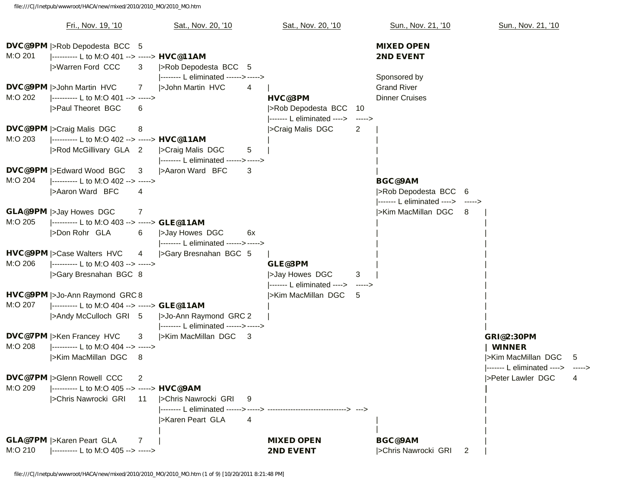file:///C|/Inetpub/wwwroot/HACA/new/mixed/2010/2010\_MO/2010\_MO.htm

|                                              | Fri., Nov. 19, '10                                                                                        |                | Sat., Nov. 20, '10                                             |        | Sat., Nov. 20, '10                                             |             | Sun., Nov. 21, '10                                                           |   | Sun., Nov. 21, '10                                                                             |     |
|----------------------------------------------|-----------------------------------------------------------------------------------------------------------|----------------|----------------------------------------------------------------|--------|----------------------------------------------------------------|-------------|------------------------------------------------------------------------------|---|------------------------------------------------------------------------------------------------|-----|
| M:O 201                                      | <b>DVC@9PM</b>  >Rob Depodesta BCC 5<br> ---------- L to M:O 401 --> -----> HVC@11AM<br> >Warren Ford CCC | 3              | >Rob Depodesta BCC 5<br> -------- L eliminated ------> ----->  |        |                                                                |             | <b>MIXED OPEN</b><br><b>2ND EVENT</b><br>Sponsored by                        |   |                                                                                                |     |
| <b>DVC@9PM</b>  >John Martin HVC<br>M:O 202  | ---------- L to M:O 401 --> -----><br>>Paul Theoret BGC                                                   | 7<br>6         | <b>SJohn Martin HVC</b>                                        | 4      | <b>HVC@3PM</b><br>>Rob Depodesta BCC                           | 10          | <b>Grand River</b><br><b>Dinner Cruises</b>                                  |   |                                                                                                |     |
| <b>DVC@9PM</b>  >Craig Malis DGC<br>M:O 203  | ---------- L to M:O 402 --> -----> HVC@11AM<br> >Rod McGillivary GLA 2                                    | 8              | >Craig Malis DGC<br> -------- L eliminated ------> ----->      | 5      | ------- L eliminated ----><br>>Craig Malis DGC                 | -----><br>2 |                                                                              |   |                                                                                                |     |
| <b>DVC@9PM</b>  >Edward Wood BGC<br>M:O 204  | ---------- L to M:O 402 --> -----><br> >Aaron Ward BFC                                                    | 3<br>4         | >Aaron Ward BFC                                                | 3      |                                                                |             | <b>BGC@9AM</b><br> >Rob Depodesta BCC 6<br> ------ L eliminated ----> -----> |   |                                                                                                |     |
| <b>GLA@9PM</b>  >Jay Howes DGC<br>M:O 205    | ---------- L to M:O 403 --> -----> GLE@11AM<br>>Don Rohr GLA                                              | 7<br>6         | >Jay Howes DGC<br> -------- L eliminated ------> ----->        | 6x     |                                                                |             | >Kim MacMillan DGC 8                                                         |   |                                                                                                |     |
| <b>HVC@9PM</b>  >Case Walters HVC<br>M:O 206 | ---------- L to M:O 403 --> -----><br> >Gary Bresnahan BGC 8                                              | $\overline{4}$ | SGary Bresnahan BGC 5                                          |        | GLE@3PM<br>>Jay Howes DGC<br> ------ L eliminated ----> -----> | 3           |                                                                              |   |                                                                                                |     |
| M:O 207                                      | HVC@9PM  >Jo-Ann Raymond GRC 8<br> ---------- L to M:O 404 --> -----> GLE@11AM<br> >Andy McCulloch GRI 5  |                | >Jo-Ann Raymond GRC 2<br> -------- L eliminated ------> -----> |        | >Kim MacMillan DGC                                             | -5          |                                                                              |   |                                                                                                |     |
| <b>DVC@7PM</b>  >Ken Francey HVC<br>M:O 208  | ---------- L to M:O 404 --> -----><br> >Kim MacMillan DGC                                                 | 3<br>-8        | >Kim MacMillan DGC 3                                           |        |                                                                |             |                                                                              |   | <b>GRI@2:30PM</b><br><b>WINNER</b><br> >Kim MacMillan DGC<br> ------ L eliminated ----> -----> | - 5 |
| <b>DVC@7PM</b>  >Glenn Rowell CCC<br>M:O 209 | ---------- L to M:O 405 --> -----> HVC@9AM<br> >Chris Nawrocki GRI                                        | 2<br>11        | >Chris Nawrocki GRI<br> >Karen Peart GLA                       | 9<br>4 |                                                                |             |                                                                              |   | >Peter Lawler DGC                                                                              |     |
| <b>GLA@7PM</b>  >Karen Peart GLA<br>M:O 210  | ---------- L to M:O 405 --> ----->                                                                        | 7              |                                                                |        | <b>MIXED OPEN</b><br><b>2ND EVENT</b>                          |             | <b>BGC@9AM</b><br> >Chris Nawrocki GRI                                       | 2 |                                                                                                |     |